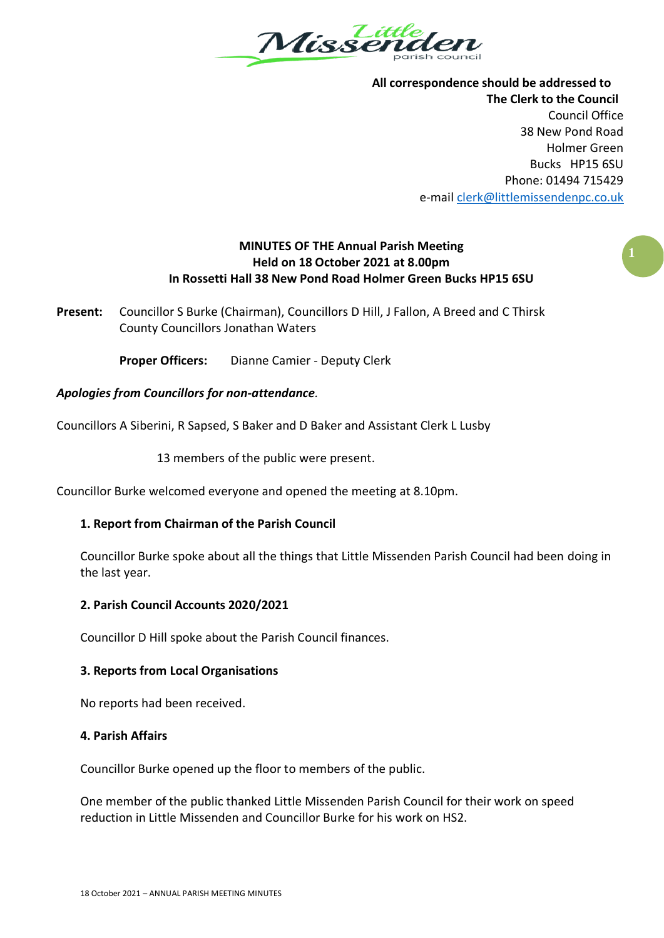

**All correspondence should be addressed to The Clerk to the Council** Council Office 38 New Pond Road Holmer Green Bucks HP15 6SU Phone: 01494 715429 e-mai[l clerk@littlemissendenpc.co.uk](mailto:clerk@littlemissendenpc.co.uk)

# **MINUTES OF THE Annual Parish Meeting Held on 18 October 2021 at 8.00pm In Rossetti Hall 38 New Pond Road Holmer Green Bucks HP15 6SU**

**Present:** Councillor S Burke (Chairman), Councillors D Hill, J Fallon, A Breed and C Thirsk County Councillors Jonathan Waters

**Proper Officers:** Dianne Camier - Deputy Clerk

## *Apologies from Councillors for non-attendance.*

Councillors A Siberini, R Sapsed, S Baker and D Baker and Assistant Clerk L Lusby

13 members of the public were present.

Councillor Burke welcomed everyone and opened the meeting at 8.10pm.

### **1. Report from Chairman of the Parish Council**

Councillor Burke spoke about all the things that Little Missenden Parish Council had been doing in the last year.

### **2. Parish Council Accounts 2020/2021**

Councillor D Hill spoke about the Parish Council finances.

### **3. Reports from Local Organisations**

No reports had been received.

### **4. Parish Affairs**

Councillor Burke opened up the floor to members of the public.

One member of the public thanked Little Missenden Parish Council for their work on speed reduction in Little Missenden and Councillor Burke for his work on HS2.